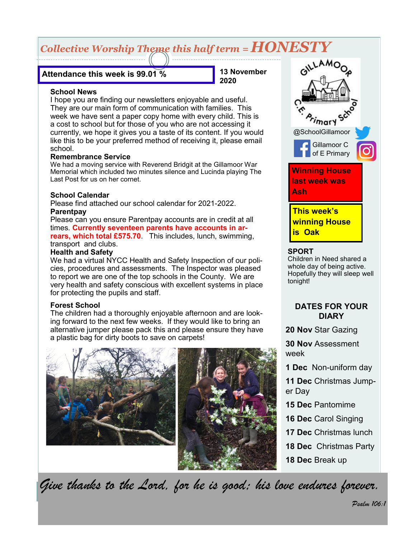# *Collective Worship Theme this half term = HONESTY*

## **Attendance this week is 99.01 %**

**13 November 2020**

#### **School News**

I hope you are finding our newsletters enjoyable and useful. They are our main form of communication with families. This week we have sent a paper copy home with every child. This is a cost to school but for those of you who are not accessing it currently, we hope it gives you a taste of its content. If you would like this to be your preferred method of receiving it, please email school.

#### **Remembrance Service**

We had a moving service with Reverend Bridgit at the Gillamoor War Memorial which included two minutes silence and Lucinda playing The Last Post for us on her cornet.

## **School Calendar**

Please find attached our school calendar for 2021-2022. **Parentpay**

Please can you ensure Parentpay accounts are in credit at all times. **Currently seventeen parents have accounts in arrears, which total £575.70**. This includes, lunch, swimming, transport and clubs.

## **Health and Safety**

We had a virtual NYCC Health and Safety Inspection of our policies, procedures and assessments. The Inspector was pleased to report we are one of the top schools in the County. We are very health and safety conscious with excellent systems in place for protecting the pupils and staff.

## **Forest School**

The children had a thoroughly enjoyable afternoon and are looking forward to the next few weeks. If they would like to bring an alternative jumper please pack this and please ensure they have a plastic bag for dirty boots to save on carpets!





#### **SPORT**

Children in Need shared a whole day of being active. Hopefully they will sleep well tonight!

## **DATES FOR YOUR DIARY**

**20 Nov** Star Gazing

**30 Nov** Assessment week

**1 Dec** Non-uniform day

**11 Dec** Christmas Jumper Day

- **15 Dec** Pantomime
- **16 Dec** Carol Singing
- **17 Dec** Christmas lunch
- **18 Dec** Christmas Party
- **18 Dec** Break up

*Give thanks to the Lord, for he is good; his love endures forever.*